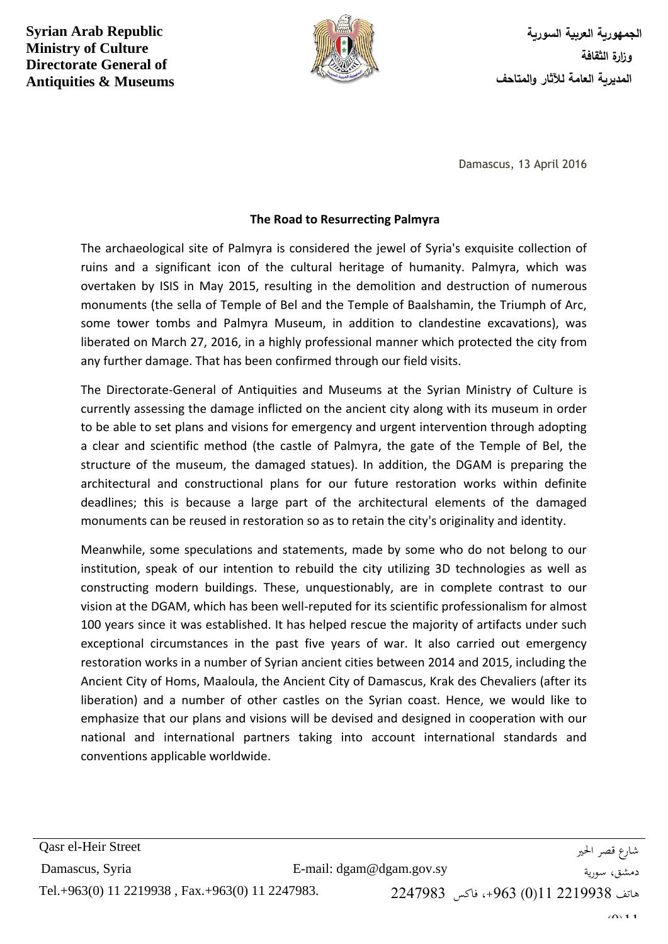**Syrian Arab Republic Ministry of Culture Directorate General of Antiquities & Museums**



**الجمهورية العربية السورية وزارة الثقافة المديرية العامة لآلثار والمتاحف**

Damascus, 13 April 2016

## **The Road to Resurrecting Palmyra**

The archaeological site of Palmyra is considered the jewel of Syria's exquisite collection of ruins and a significant icon of the cultural heritage of humanity. Palmyra, which was overtaken by ISIS in May 2015, resulting in the demolition and destruction of numerous monuments (the sella of Temple of Bel and the Temple of Baalshamin, the Triumph of Arc, some tower tombs and Palmyra Museum, in addition to clandestine excavations), was liberated on March 27, 2016, in a highly professional manner which protected the city from any further damage. That has been confirmed through our field visits.

The Directorate-General of Antiquities and Museums at the Syrian Ministry of Culture is currently assessing the damage inflicted on the ancient city along with its museum in order to be able to set plans and visions for emergency and urgent intervention through adopting a clear and scientific method (the castle of Palmyra, the gate of the Temple of Bel, the structure of the museum, the damaged statues). In addition, the DGAM is preparing the architectural and constructional plans for our future restoration works within definite deadlines; this is because a large part of the architectural elements of the damaged monuments can be reused in restoration so as to retain the city's originality and identity.

Meanwhile, some speculations and statements, made by some who do not belong to our institution, speak of our intention to rebuild the city utilizing 3D technologies as well as constructing modern buildings. These, unquestionably, are in complete contrast to our vision at the DGAM, which has been well-reputed for its scientific professionalism for almost 100 years since it was established. It has helped rescue the majority of artifacts under such exceptional circumstances in the past five years of war. It also carried out emergency restoration works in a number of Syrian ancient cities between 2014 and 2015, including the Ancient City of Homs, Maaloula, the Ancient City of Damascus, Krak des Chevaliers (after its liberation) and a number of other castles on the Syrian coast. Hence, we would like to emphasize that our plans and visions will be devised and designed in cooperation with our national and international partners taking into account international standards and conventions applicable worldwide.